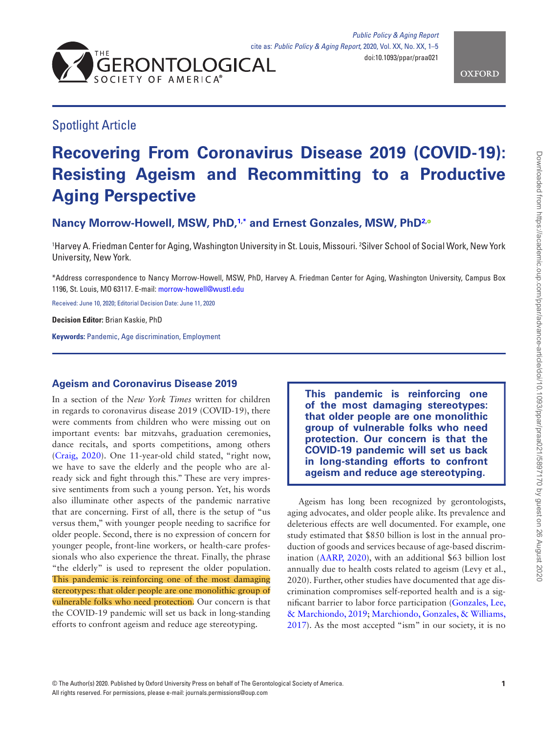



## Spotlight Article

# **Recovering From Coronavirus Disease 2019 (COVID-19): Resisting Ageism and Recommitting to a Productive Aging Perspective**

**Nancy Morrow-Howell, MSW, PhD[,1](#page-0-0)[,\\*](#page-0-1) and Ernest Gonzales, MSW, Ph[D2](#page-0-2)[,](http://orcid.org/0000-0002-6182-1326)**

<span id="page-0-2"></span><span id="page-0-0"></span>1 Harvey A. Friedman Center for Aging, Washington University in St. Louis, Missouri. 2 Silver School of Social Work, New York University, New York.

<span id="page-0-1"></span>\*Address correspondence to Nancy Morrow-Howell, MSW, PhD, Harvey A. Friedman Center for Aging, Washington University, Campus Box 1196, St. Louis, MO 63117. E-mail: [morrow-howell@wustl.edu](mailto:morrow-howell@wustl.edu?subject=)

Received: June 10, 2020; Editorial Decision Date: June 11, 2020

**Decision Editor:** Brian Kaskie, PhD

**Keywords:** Pandemic, Age discrimination, Employment

## **Ageism and Coronavirus Disease 2019**

In a section of the *New York Times* written for children in regards to coronavirus disease 2019 (COVID-19), there were comments from children who were missing out on important events: bar mitzvahs, graduation ceremonies, dance recitals, and sports competitions, among others ([Craig, 2020\)](#page-3-0). One 11-year-old child stated, "right now, we have to save the elderly and the people who are already sick and fight through this." These are very impressive sentiments from such a young person. Yet, his words also illuminate other aspects of the pandemic narrative that are concerning. First of all, there is the setup of "us versus them," with younger people needing to sacrifice for older people. Second, there is no expression of concern for younger people, front-line workers, or health-care professionals who also experience the threat. Finally, the phrase "the elderly" is used to represent the older population. This pandemic is reinforcing one of the most damaging stereotypes: that older people are one monolithic group of vulnerable folks who need protection. Our concern is that the COVID-19 pandemic will set us back in long-standing efforts to confront ageism and reduce age stereotyping.

**This pandemic is reinforcing one of the most damaging stereotypes: that older people are one monolithic group of vulnerable folks who need protection. Our concern is that the COVID-19 pandemic will set us back in long-standing efforts to confront ageism and reduce age stereotyping.**

Ageism has long been recognized by gerontologists, aging advocates, and older people alike. Its prevalence and deleterious effects are well documented. For example, one study estimated that \$850 billion is lost in the annual production of goods and services because of age-based discrimination [\(AARP, 2020](#page-3-1)), with an additional \$63 billion lost annually due to health costs related to ageism (Levy et al., 2020). Further, other studies have documented that age discrimination compromises self-reported health and is a significant barrier to labor force participation [\(Gonzales, Lee,](#page-3-2)  [& Marchiondo, 2019](#page-3-2); [Marchiondo, Gonzales, & Williams,](#page-4-0)  [2017](#page-4-0)). As the most accepted "ism" in our society, it is no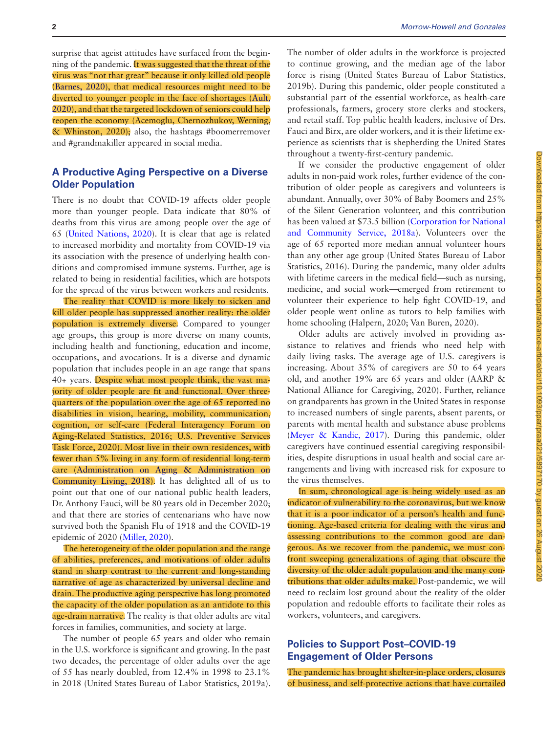surprise that ageist attitudes have surfaced from the beginning of the pandemic. It was suggested that the threat of the virus was "not that great" because it only killed old people ([Barnes, 2020](#page-3-3)), that medical resources might need to be diverted to younger people in the face of shortages [\(Ault,](#page-3-0)  [2020](#page-3-0)), and that the targeted lockdown of seniors could help reopen the economy (Acemoglu, Chernozhukov, Werning, & Whinston, 2020); also, the hashtags #boomerremover and #grandmakiller appeared in social media.

## **A Productive Aging Perspective on a Diverse Older Population**

There is no doubt that COVID-19 affects older people more than younger people. Data indicate that 80% of deaths from this virus are among people over the age of 65 ([United Nations, 2020](#page-4-1)). It is clear that age is related to increased morbidity and mortality from COVID-19 via its association with the presence of underlying health conditions and compromised immune systems. Further, age is related to being in residential facilities, which are hotspots for the spread of the virus between workers and residents.

The reality that COVID is more likely to sicken and kill older people has suppressed another reality: the older population is extremely diverse. Compared to younger age groups, this group is more diverse on many counts, including health and functioning, education and income, occupations, and avocations. It is a diverse and dynamic population that includes people in an age range that spans 40+ years. Despite what most people think, the vast majority of older people are fit and functional. Over threequarters of the population over the age of 65 reported no disabilities in vision, hearing, mobility, communication, cognition, or self-care (Federal Interagency Forum on Aging-Related Statistics, 2016; U.S. Preventive Services Task Force, 2020). Most live in their own residences, with fewer than 5% living in any form of residential long-term care ([Administration on Aging & Administration on](#page-3-4)  [Community Living, 2018\)](#page-3-4). It has delighted all of us to point out that one of our national public health leaders, Dr. Anthony Fauci, will be 80 years old in December 2020; and that there are stories of centenarians who have now survived both the Spanish Flu of 1918 and the COVID-19 epidemic of 2020 ([Miller, 2020\)](#page-4-2).

The heterogeneity of the older population and the range of abilities, preferences, and motivations of older adults stand in sharp contrast to the current and long-standing narrative of age as characterized by universal decline and drain. The productive aging perspective has long promoted the capacity of the older population as an antidote to this age-drain narrative. The reality is that older adults are vital forces in families, communities, and society at large.

The number of people 65 years and older who remain in the U.S. workforce is significant and growing. In the past two decades, the percentage of older adults over the age of 55 has nearly doubled, from 12.4% in 1998 to 23.1% in 2018 (United States Bureau of Labor Statistics, 2019a). The number of older adults in the workforce is projected to continue growing, and the median age of the labor force is rising (United States Bureau of Labor Statistics, 2019b). During this pandemic, older people constituted a substantial part of the essential workforce, as health-care professionals, farmers, grocery store clerks and stockers, and retail staff. Top public health leaders, inclusive of Drs. Fauci and Birx, are older workers, and it is their lifetime experience as scientists that is shepherding the United States throughout a twenty-first-century pandemic.

If we consider the productive engagement of older adults in non-paid work roles, further evidence of the contribution of older people as caregivers and volunteers is abundant. Annually, over 30% of Baby Boomers and 25% of the Silent Generation volunteer, and this contribution has been valued at \$73.5 billion ([Corporation for National](#page-3-5)  [and Community Service, 2018a](#page-3-5)). Volunteers over the age of 65 reported more median annual volunteer hours than any other age group (United States Bureau of Labor Statistics, 2016). During the pandemic, many older adults with lifetime careers in the medical field—such as nursing, medicine, and social work—emerged from retirement to volunteer their experience to help fight COVID-19, and older people went online as tutors to help families with home schooling (Halpern, 2020; Van Buren, 2020).

Older adults are actively involved in providing assistance to relatives and friends who need help with daily living tasks. The average age of U.S. caregivers is increasing. About 35% of caregivers are 50 to 64 years old, and another 19% are 65 years and older (AARP & National Alliance for Caregiving, 2020). Further, reliance on grandparents has grown in the United States in response to increased numbers of single parents, absent parents, or parents with mental health and substance abuse problems ([Meyer & Kandic, 2017](#page-4-3)). During this pandemic, older caregivers have continued essential caregiving responsibilities, despite disruptions in usual health and social care arrangements and living with increased risk for exposure to the virus themselves.

In sum, chronological age is being widely used as an indicator of vulnerability to the coronavirus, but we know that it is a poor indicator of a person's health and functioning. Age-based criteria for dealing with the virus and assessing contributions to the common good are dangerous. As we recover from the pandemic, we must confront sweeping generalizations of aging that obscure the diversity of the older adult population and the many contributions that older adults make. Post-pandemic, we will need to reclaim lost ground about the reality of the older population and redouble efforts to facilitate their roles as workers, volunteers, and caregivers.

## **Policies to Support Post–COVID-19 Engagement of Older Persons**

The pandemic has brought shelter-in-place orders, closures of business, and self-protective actions that have curtailed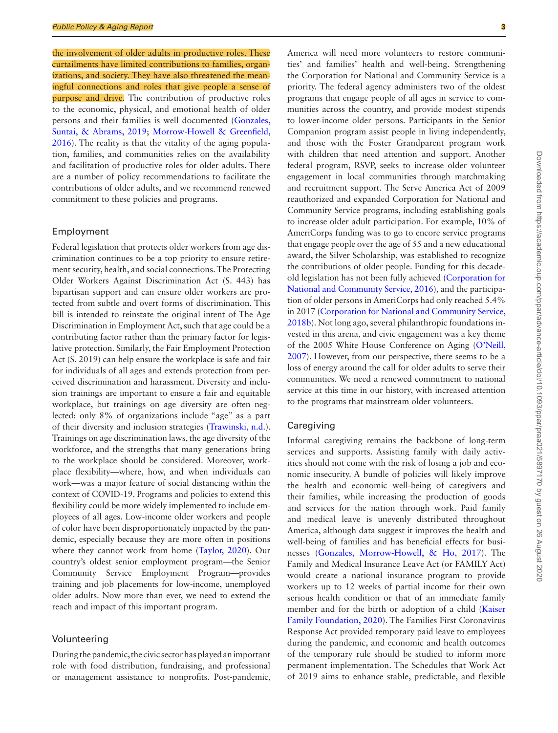the involvement of older adults in productive roles. These curtailments have limited contributions to families, organizations, and society. They have also threatened the meaningful connections and roles that give people a sense of purpose and drive. The contribution of productive roles to the economic, physical, and emotional health of older persons and their families is well documented ([Gonzales,](#page-3-6)  [Suntai, & Abrams, 2019;](#page-3-6) [Morrow-Howell & Greenfield,](#page-4-4)  [2016](#page-4-4)). The reality is that the vitality of the aging population, families, and communities relies on the availability and facilitation of productive roles for older adults. There are a number of policy recommendations to facilitate the contributions of older adults, and we recommend renewed commitment to these policies and programs.

#### Employment

Federal legislation that protects older workers from age discrimination continues to be a top priority to ensure retirement security, health, and social connections. The Protecting Older Workers Against Discrimination Act (S. 443) has bipartisan support and can ensure older workers are protected from subtle and overt forms of discrimination. This bill is intended to reinstate the original intent of The Age Discrimination in Employment Act, such that age could be a contributing factor rather than the primary factor for legislative protection. Similarly, the Fair Employment Protection Act (S. 2019) can help ensure the workplace is safe and fair for individuals of all ages and extends protection from perceived discrimination and harassment. Diversity and inclusion trainings are important to ensure a fair and equitable workplace, but trainings on age diversity are often neglected: only 8% of organizations include "age" as a part of their diversity and inclusion strategies [\(Trawinski, n.d.](#page-4-5)). Trainings on age discrimination laws, the age diversity of the workforce, and the strengths that many generations bring to the workplace should be considered. Moreover, workplace flexibility—where, how, and when individuals can work—was a major feature of social distancing within the context of COVID-19. Programs and policies to extend this flexibility could be more widely implemented to include employees of all ages. Low-income older workers and people of color have been disproportionately impacted by the pandemic, especially because they are more often in positions where they cannot work from home [\(Taylor, 2020](#page-4-6)). Our country's oldest senior employment program—the Senior Community Service Employment Program—provides training and job placements for low-income, unemployed older adults. Now more than ever, we need to extend the reach and impact of this important program.

#### Volunteering

During the pandemic, the civic sector has played an important role with food distribution, fundraising, and professional or management assistance to nonprofits. Post-pandemic, ties' and families' health and well-being. Strengthening Downloaded from https://academic.oup.com/ppar/advance-article/doi/10.1093/ppar/praa021/5897170 by guest on 26 August 2020 Downloaded from https://academic.oup.com/ppar/advance-article/doi/10.1093/ppar/praa021/5897170 by guest on 26 August 2020

the Corporation for National and Community Service is a priority. The federal agency administers two of the oldest programs that engage people of all ages in service to communities across the country, and provide modest stipends to lower-income older persons. Participants in the Senior Companion program assist people in living independently, and those with the Foster Grandparent program work with children that need attention and support. Another federal program, RSVP, seeks to increase older volunteer engagement in local communities through matchmaking and recruitment support. The Serve America Act of 2009 reauthorized and expanded Corporation for National and Community Service programs, including establishing goals to increase older adult participation. For example, 10% of AmeriCorps funding was to go to encore service programs that engage people over the age of 55 and a new educational award, the Silver Scholarship, was established to recognize the contributions of older people. Funding for this decadeold legislation has not been fully achieved [\(Corporation for](#page-3-7)  [National and Community Service, 2016\)](#page-3-7), and the participation of older persons in AmeriCorps had only reached 5.4% in 2017 ([Corporation for National and Community Service,](#page-3-8)  [2018b](#page-3-8)). Not long ago, several philanthropic foundations invested in this arena, and civic engagement was a key theme of the 2005 White House Conference on Aging ([O'Neill,](#page-4-7)  [2007](#page-4-7)). However, from our perspective, there seems to be a loss of energy around the call for older adults to serve their communities. We need a renewed commitment to national service at this time in our history, with increased attention to the programs that mainstream older volunteers. Caregiving Informal caregiving remains the backbone of long-term services and supports. Assisting family with daily activities should not come with the risk of losing a job and economic insecurity. A bundle of policies will likely improve the health and economic well-being of caregivers and their families, while increasing the production of goods and services for the nation through work. Paid family and medical leave is unevenly distributed throughout America, although data suggest it improves the health and well-being of families and has beneficial effects for busi-

nesses [\(Gonzales, Morrow-Howell, & Ho, 2017\)](#page-3-9). The Family and Medical Insurance Leave Act (or FAMILY Act) would create a national insurance program to provide workers up to 12 weeks of partial income for their own serious health condition or that of an immediate family member and for the birth or adoption of a child [\(Kaiser](#page-4-8)  [Family Foundation, 2020](#page-4-8)). The Families First Coronavirus Response Act provided temporary paid leave to employees during the pandemic, and economic and health outcomes of the temporary rule should be studied to inform more permanent implementation. The Schedules that Work Act of 2019 aims to enhance stable, predictable, and flexible

America will need more volunteers to restore communi-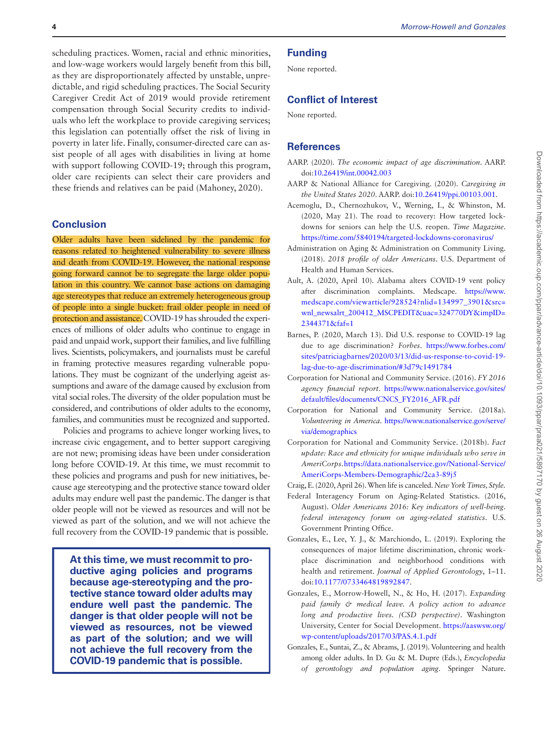scheduling practices. Women, racial and ethnic minorities, and low-wage workers would largely benefit from this bill, as they are disproportionately affected by unstable, unpredictable, and rigid scheduling practices. The Social Security Caregiver Credit Act of 2019 would provide retirement compensation through Social Security credits to individuals who left the workplace to provide caregiving services; this legislation can potentially offset the risk of living in poverty in later life. Finally, consumer-directed care can assist people of all ages with disabilities in living at home with support following COVID-19; through this program, older care recipients can select their care providers and these friends and relatives can be paid (Mahoney, 2020).

#### **Conclusion**

Older adults have been sidelined by the pandemic for reasons related to heightened vulnerability to severe illness and death from COVID-19. However, the national response going forward cannot be to segregate the large older population in this country. We cannot base actions on damaging age stereotypes that reduce an extremely heterogeneous group of people into a single bucket: frail older people in need of protection and assistance. COVID-19 has shrouded the experiences of millions of older adults who continue to engage in paid and unpaid work, support their families, and live fulfilling lives. Scientists, policymakers, and journalists must be careful in framing protective measures regarding vulnerable populations. They must be cognizant of the underlying ageist assumptions and aware of the damage caused by exclusion from vital social roles. The diversity of the older population must be considered, and contributions of older adults to the economy, families, and communities must be recognized and supported.

Policies and programs to achieve longer working lives, to increase civic engagement, and to better support caregiving are not new; promising ideas have been under consideration long before COVID-19. At this time, we must recommit to these policies and programs and push for new initiatives, because age stereotyping and the protective stance toward older adults may endure well past the pandemic. The danger is that older people will not be viewed as resources and will not be viewed as part of the solution, and we will not achieve the full recovery from the COVID-19 pandemic that is possible.

**At this time, we must recommit to productive aging policies and programs because age-stereotyping and the protective stance toward older adults may endure well past the pandemic. The danger is that older people will not be viewed as resources, not be viewed as part of the solution; and we will not achieve the full recovery from the COVID-19 pandemic that is possible.**

## **Funding**

None reported.

### **Conflict of Interest**

None reported.

#### **References**

- <span id="page-3-1"></span>AARP. (2020). *The economic impact of age discrimination*. AARP. doi:[10.26419/int.00042.003](https://doi.org/10.26419/int.00042.003)
- AARP & National Alliance for Caregiving. (2020). *Caregiving in the United States 2020*. AARP. doi[:10.26419/ppi.00103.001](https://doi.org/10.26419/ppi.00103.001).
- Acemoglu, D., Chernozhukov, V., Werning, I., & Whinston, M. (2020, May 21). The road to recovery: How targeted lockdowns for seniors can help the U.S. reopen. *Time Magazine*. <https://time.com/5840194/targeted-lockdowns-coronavirus/>
- <span id="page-3-4"></span>Administration on Aging & Administration on Community Living. (2018). *2018 profile of older Americans*. U.S. Department of Health and Human Services.
- <span id="page-3-0"></span>Ault, A. (2020, April 10). Alabama alters COVID-19 vent policy after discrimination complaints. Medscape. [https://www.](https://www.medscape.com/viewarticle/928524?nlid=134997_3901&src=wnl_newsalrt_200412_MSCPEDIT&uac=324770DY&impID=2344371&faf=1﻿) [medscape.com/viewarticle/928524?nlid=134997\\_3901&src=](https://www.medscape.com/viewarticle/928524?nlid=134997_3901&src=wnl_newsalrt_200412_MSCPEDIT&uac=324770DY&impID=2344371&faf=1﻿) [wnl\\_newsalrt\\_200412\\_MSCPEDIT&uac=324770DY&impID=](https://www.medscape.com/viewarticle/928524?nlid=134997_3901&src=wnl_newsalrt_200412_MSCPEDIT&uac=324770DY&impID=2344371&faf=1﻿) [2344371&faf=1](https://www.medscape.com/viewarticle/928524?nlid=134997_3901&src=wnl_newsalrt_200412_MSCPEDIT&uac=324770DY&impID=2344371&faf=1﻿)
- <span id="page-3-3"></span>Barnes, P. (2020, March 13). Did U.S. response to COVID-19 lag due to age discrimination? *Forbes*. [https://www.forbes.com/](https://www.forbes.com/sites/patriciagbarnes/2020/03/13/did-us-response-to-covid-19-lag-due-to-age-discrimination/#3d79c1491784) [sites/patriciagbarnes/2020/03/13/did-us-response-to-covid-19](https://www.forbes.com/sites/patriciagbarnes/2020/03/13/did-us-response-to-covid-19-lag-due-to-age-discrimination/#3d79c1491784) [lag-due-to-age-discrimination/#3d79c1491784](https://www.forbes.com/sites/patriciagbarnes/2020/03/13/did-us-response-to-covid-19-lag-due-to-age-discrimination/#3d79c1491784)
- <span id="page-3-7"></span>Corporation for National and Community Service. (2016). *FY 2016 agency financial report*. [https://www.nationalservice.gov/sites/](https://www.nationalservice.gov/sites/default/files/documents/CNCS_FY2016_AFR.pdf) [default/files/documents/CNCS\\_FY2016\\_AFR.pdf](https://www.nationalservice.gov/sites/default/files/documents/CNCS_FY2016_AFR.pdf)
- <span id="page-3-5"></span>Corporation for National and Community Service. (2018a). *Volunteering in America*. [https://www.nationalservice.gov/serve/](https://www.nationalservice.gov/serve/via/demographics) [via/demographics](https://www.nationalservice.gov/serve/via/demographics)
- <span id="page-3-8"></span>Corporation for National and Community Service. (2018b). *Fact update: Race and ethnicity for unique individuals who serve in AmeriCorps*. [https://data.nationalservice.gov/National-Service/](https://data.nationalservice.gov/National-Service/AmeriCorps-Members-Demographic/2ca3-89j5) [AmeriCorps-Members-Demographic/2ca3-89j5](https://data.nationalservice.gov/National-Service/AmeriCorps-Members-Demographic/2ca3-89j5)
- Craig, E. (2020, April 26). When life is canceled. *New York Times, Style.*
- Federal Interagency Forum on Aging-Related Statistics. (2016, August). *Older Americans 2016: Key indicators of well-being. federal interagency forum on aging-related statistics*. U.S. Government Printing Office.
- <span id="page-3-2"></span>Gonzales, E., Lee, Y. J., & Marchiondo, L. (2019). Exploring the consequences of major lifetime discrimination, chronic workplace discrimination and neighborhood conditions with health and retirement. *Journal of Applied Gerontology*, 1–11. doi:[10.1177/0733464819892847](https://doi.org/10.1177/0733464819892847).
- <span id="page-3-9"></span>Gonzales, E., Morrow-Howell, N., & Ho, H. (2017). *Expanding paid family & medical leave. A policy action to advance long and productive lives. (CSD perspective)*. Washington University, Center for Social Development. [https://aaswsw.org/](https://aaswsw.org/wp-content/uploads/2017/03/PAS.4.1.pdf) [wp-content/uploads/2017/03/PAS.4.1.pdf](https://aaswsw.org/wp-content/uploads/2017/03/PAS.4.1.pdf)
- <span id="page-3-6"></span>Gonzales, E., Suntai, Z., & Abrams, J. (2019). Volunteering and health among older adults. In D. Gu & M. Dupre (Eds.), *Encyclopedia of gerontology and population aging*. Springer Nature.